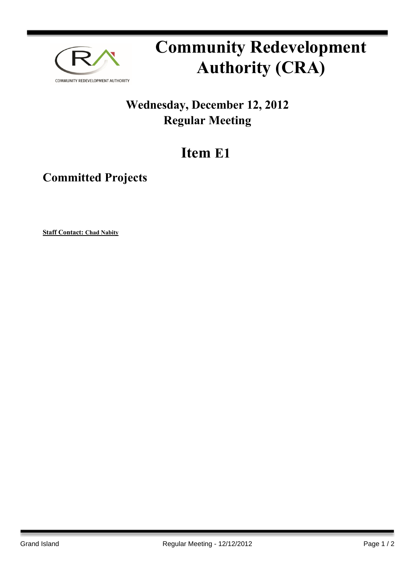

## **Community Redevelopment Authority (CRA)**

## **Wednesday, December 12, 2012 Regular Meeting**

## **Item E1**

**Committed Projects**

**Staff Contact: Chad Nabity**